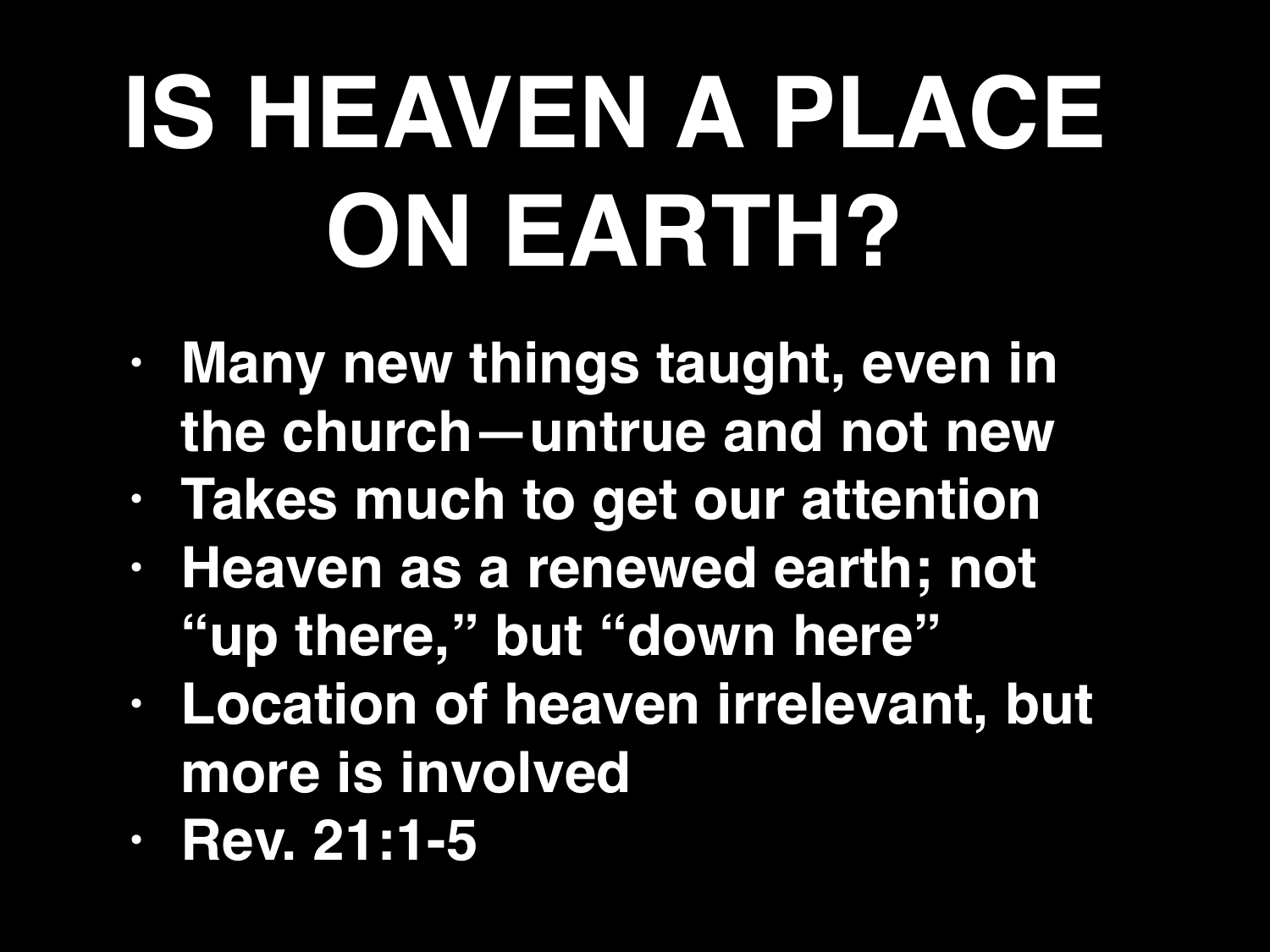## **IS HEAVEN A PLACE ON EARTH?**

- **• Many new things taught, even in the church—untrue and not new**
- **• Takes much to get our attention**
- **• Heaven as a renewed earth; not "up there," but "down here"**
- **• Location of heaven irrelevant, but more is involved**
- **• Rev. 21:1-5**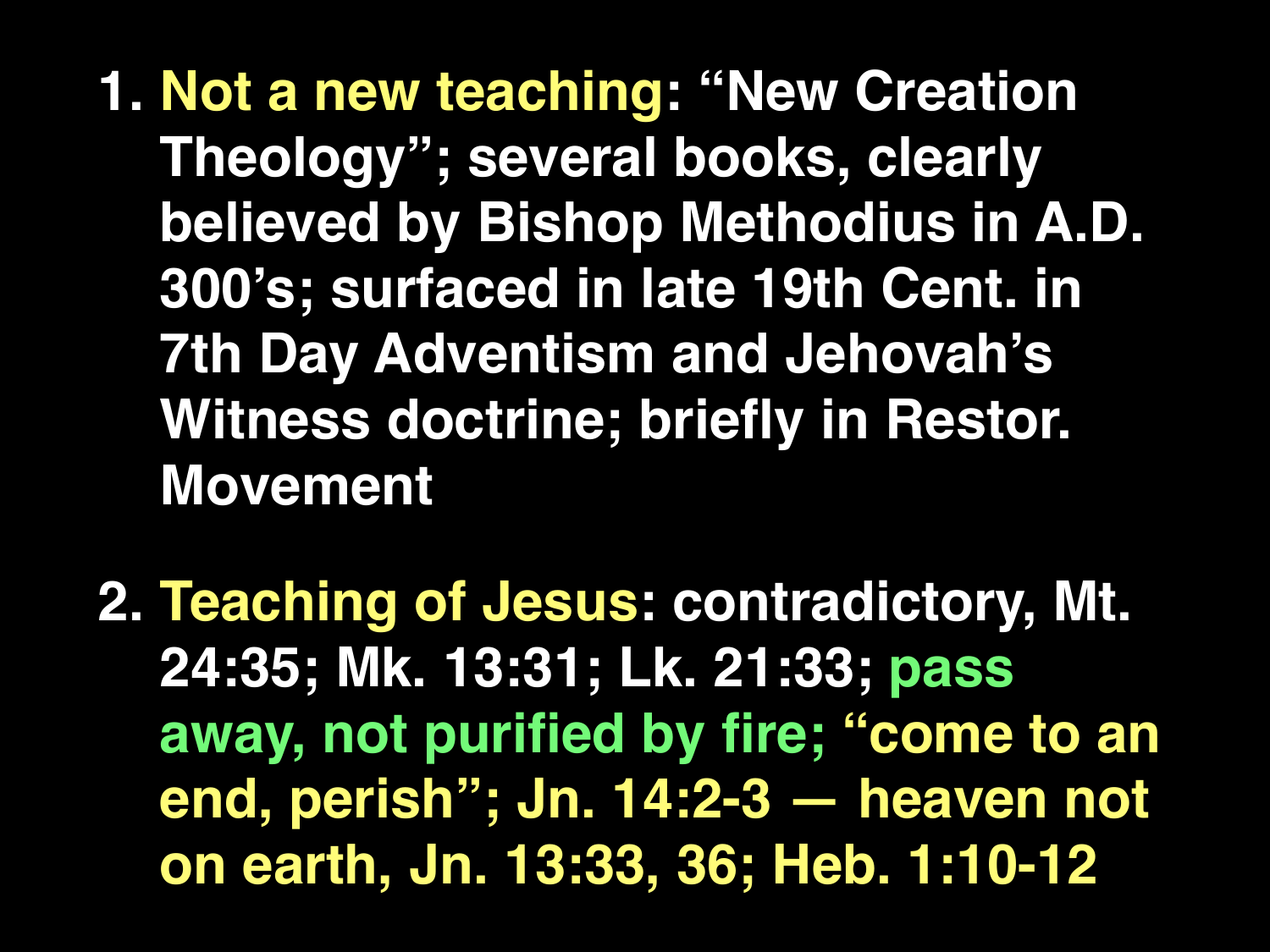**1. Not a new teaching: "New Creation Theology"; several books, clearly believed by Bishop Methodius in A.D. 300's; surfaced in late 19th Cent. in 7th Day Adventism and Jehovah's Witness doctrine; briefly in Restor. Movement** 

**2. Teaching of Jesus: contradictory, Mt. 24:35; Mk. 13:31; Lk. 21:33; pass away, not purified by fire; "come to an end, perish"; Jn. 14:2-3 — heaven not on earth, Jn. 13:33, 36; Heb. 1:10-12**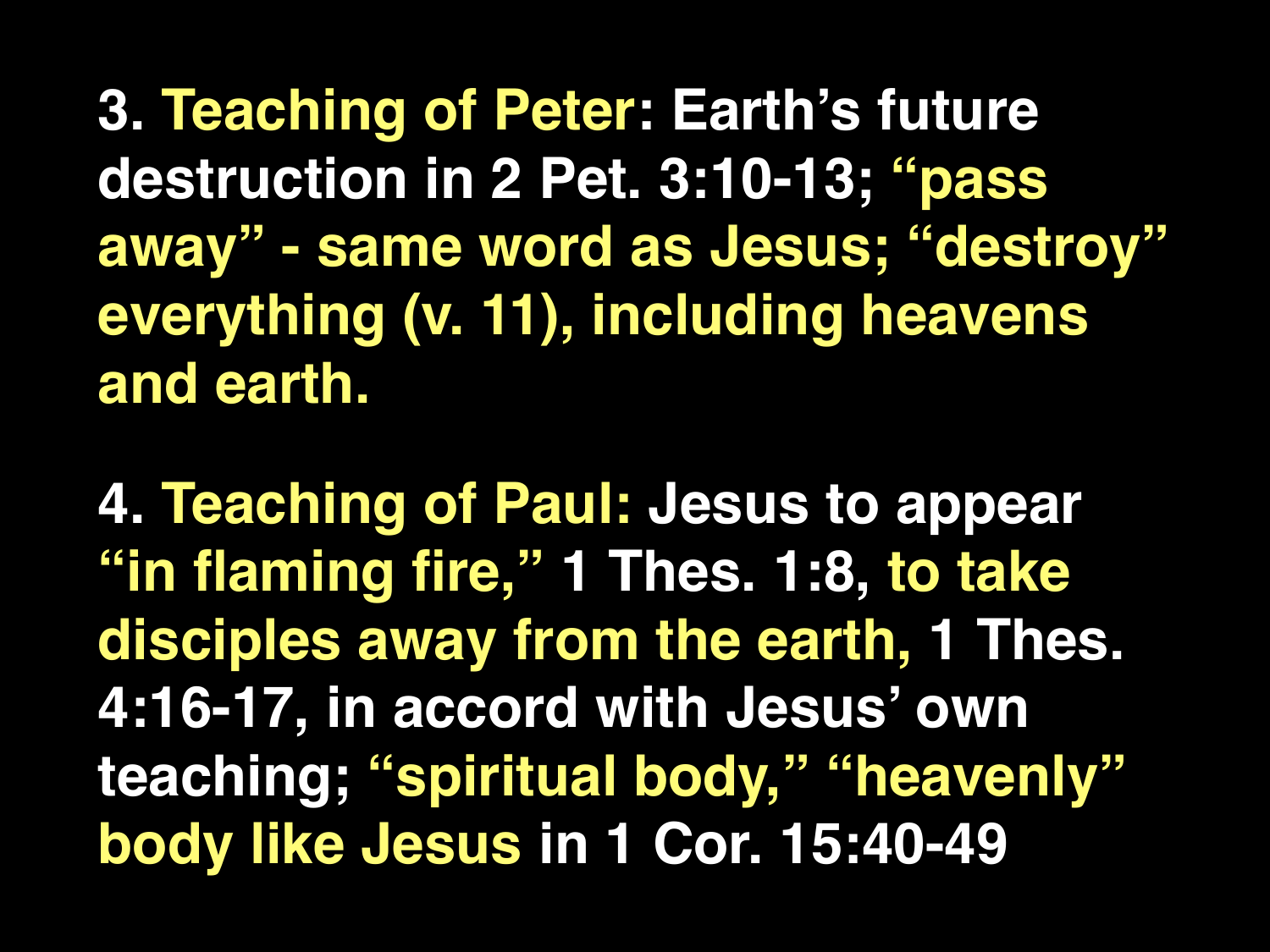**3. Teaching of Peter: Earth's future destruction in 2 Pet. 3:10-13; "pass away" - same word as Jesus; "destroy" everything (v. 11), including heavens and earth.**

**4. Teaching of Paul: Jesus to appear "in flaming fire," 1 Thes. 1:8, to take disciples away from the earth, 1 Thes. 4:16-17, in accord with Jesus' own teaching; "spiritual body," "heavenly" body like Jesus in 1 Cor. 15:40-49**